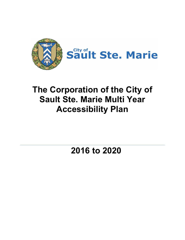

# **The Corporation of the City of Sault Ste. Marie Multi Year Accessibility Plan**

**2016 to 2020**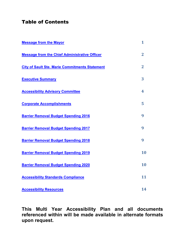# Table of Contents

| <b>Message from the Mayor</b>                         | 1              |
|-------------------------------------------------------|----------------|
| <b>Message from the Chief Administrative Officer</b>  | $\overline{2}$ |
| <b>City of Sault Ste. Marie Commitments Statement</b> | $\overline{2}$ |
| <b>Executive Summary</b>                              | 3              |
| <b>Accessibility Advisory Committee</b>               | 4              |
| <b>Corporate Accomplishments</b>                      | 5              |
| <b>Barrier Removal Budget Spending 2016</b>           | 9              |
| <b>Barrier Removal Budget Spending 2017</b>           | 9              |
| <b>Barrier Removal Budget Spending 2018</b>           | 9              |
| <b>Barrier Removal Budget Spending 2019</b>           | 10             |
| <b>Barrier Removal Budget Spending 2020</b>           | 10             |
| <b>Accessibility Standards Compliance</b>             | 11             |
| <b>Accessibility Resources</b>                        | 14             |

**This Multi Year Accessibility Plan and all documents referenced within will be made available in alternate formats upon request.**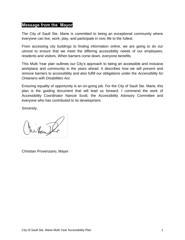# <span id="page-2-0"></span>**Message from the Mayor**

The City of Sault Ste. Marie is committed to being an exceptional community where everyone can live, work, play, and participate in civic life to the fullest.

From accessing city buildings to finding information online, we are going to do our utmost to ensure that we meet the differing accessibility needs of our employees, residents and visitors. When barriers come down, everyone benefits.

This Multi Year plan outlines our City's approach to being an accessible and inclusive workplace and community in the years ahead. It describes how we will prevent and remove barriers to accessibility and also fulfill our obligations under the *Accessibility for Ontarians with Disabilities Act.* 

Ensuring equality of opportunity is an on-going job. For the City of Sault Ste. Marie, this plan is the guiding document that will lead us forward. I commend the work of Accessibility Coordinator Nancie Scott, the Accessibility Advisory Committee and everyone who has contributed to its development.

Sincerely,

hikat

Christian Provenzano, Mayor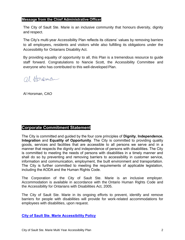# <span id="page-3-0"></span>**Message from the Chief Administrative Officer**

The City of Sault Ste. Marie is an inclusive community that honours diversity, dignity and respect.

The City's multi-year Accessibility Plan reflects its citizens' values by removing barriers to all employees, residents and visitors while also fulfilling its obligations under the Accessibility for Ontarians Disability Act.

By providing equality of opportunity to all, this Plan is a tremendous resource to guide staff forward. Congratulations to Nancie Scott, the Accessibility Committee and everyone who has contributed to this well-developed Plan.

al Hereman

Al Horsman, CAO

# <span id="page-3-1"></span>**Corporate Commitment Statement**

The City is committed and guided by the four core principles of **Dignity**, **Independence**, **Integration** and **Equality of Opportunity**. The City is committed to providing quality goods, services and facilities that are accessible to all persons we serve and in a manner that respects the dignity and independence of persons with disabilities. The City is committed to meeting the needs of persons with disabilities in a timely manner and shall do so by preventing and removing barriers to accessibility in customer service, information and communication, employment, the built environment and transportation. The City is further committed to meeting the requirements of applicable legislation, including the AODA and the Human Rights Code.

The Corporation of the City of Sault Ste. Marie is an inclusive employer. Accommodation is available in accordance with the Ontario Human Rights Code and the Accessibility for Ontarians with Disabilities Act, 2005.

The City of Sault Ste. Marie in its ongoing efforts to prevent, identify and remove barriers for people with disabilities will provide for work-related accommodations for employees with disabilities, upon request.

**[City of Sault Ste. Marie Accessibility Policy](http://www.saultstemarie.ca/City-Hall/City-Departments/Social-Services/Accessibility/Accessibility-Policy.aspx)**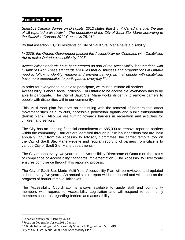# <span id="page-4-0"></span>**Executive Summary**

*Statistics Canada Survey on Disability, 2012 states that 1 in 7 Canadians over the age of 15 reported a disability.<sup>1</sup> The population of the City of Sault Ste. Marie according to the Statistics Canada 2011 Census is 75,141<sup>2</sup> .* 

By that assertion 10,734 residents of City of Sault Ste. Marie have a disability.

*In 2005, the Ontario Government passed the Accessibility for Ontarians with Disabilities Act to make Ontario accessible by 2025.* 

*Accessibility standards have been created as part of the Accessibility for Ontarians with Disabilities Act. These standards are rules that businesses and organizations in Ontario need to follow to identify, remove and prevent barriers so that people with disabilities have more opportunities to participate in everyday life.*<sup>3</sup>

In order for everyone to be able to participate, we must eliminate all barriers.

Accessibility is about social inclusion. For Ontario to be accessible, everybody has to be able to participate. The City of Sault Ste. Marie works diligently to remove barriers to people with disabilities within our community.

This Multi Year plan focusses on continuing with the removal of barriers that affect movement such as curb cuts, accessible pedestrian signals and public transportation (transit plan). Also we are turning towards barriers in recreation and activities for children and seniors.

The City has an ongoing financial commitment of \$85,000 to remove reported barriers within the community. Barriers are identified through public input sessions that are held annually, input from the Accessibility Advisory Committee, the barrier removal tool on the City of Sault Ste. Marie website and regular reporting of barriers from citizens to various City of Sault Ste. Marie departments.

The City reports every two years to the Accessibility Directorate of Ontario on the status of compliance of Accessibility Standards implementation. The Accessibility Directorate ensures compliance through this reporting process.

The City of Sault Ste. Marie Multi Year Accessibility Plan will be reviewed and updated at least every five years. An annual status report will be prepared and will report on the progress of barrier removal initiatives.

The Accessibility Coordinator is always available to guide staff and community members with regards to Accessibility Legislation and will respond to community members concerns regarding barriers and accessibility.

l

3 A Guide to the Integrated Accessibility Standards Regulation - AccessON

<sup>1</sup> Canadian Survey on Disability, 2012

<sup>2</sup> Focus on Geography Series, 2011 Census

City of Sault Ste. Marie Multi Year Accessibility Plan 3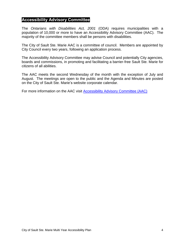# <span id="page-5-0"></span>**Accessibility Advisory Committee**

The *Ontarians with Disabilities Act, 2001* (ODA) requires municipalities with a population of 10,000 or more to have an Accessibility Advisory Committee (AAC). The majority of the committee members shall be persons with disabilities.

The City of Sault Ste. Marie AAC is a committee of council. Members are appointed by City Council every two years, following an application process.

The Accessibility Advisory Committee may advise Council and potentially City agencies, boards and commissions, in promoting and facilitating a barrier-free Sault Ste. Marie for citizens of all abilities.

The AAC meets the second Wednesday of the month with the exception of July and August. The meetings are open to the public and the Agenda and Minutes are posted on the City of Sault Ste. Marie's website corporate calendar.

For more information on the AAC visit **Accessibility Advisory Committee (AAC)**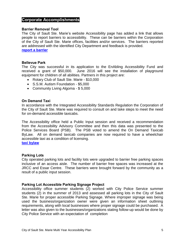# <span id="page-6-0"></span>**Corporate Accomplishments**

#### **Barrier Removal Tool**

The City of Sault Ste. Marie's website Accessibility page has added a link that allows people to report barriers to accessibility. These can be barriers within the Corporation of the City of Sault Ste. Marie offices, facilities and/or services. The barriers reported are addressed with the identified City Department and feedback is provided. **[report a barrier](http://www.saultstemarie.ca/City-Hall/City-Departments/Social-Services/Accessibility/Report-a-Barrier.aspx)**

#### **Bellevue Park**

The City was successful in its application to the EnAbling Accessibility Fund and received a grant of \$50,000. June 2016 will see the installation of playground equipment for children of all abilities. Partners in this project are:

- Rotary Club of Sault Ste. Marie \$10,000
- S.S.M. Autism Foundation \$5,000
- Community Living Algoma \$ 5,000

#### **On Demand Taxi**

In accordance with the Integrated Accessibility Standards Regulation the Corporation of the City of Sault Ste. Marie was required to consult on and take steps to meet the need for on-demand accessible taxicabs.

The Accessibility office held a Public Input session and received a recommendation from the Accessibility Advisory Committee and then this data was presented to the Police Services Board (PSB). The PSB voted to amend the On Demand Taxicab ByLaw. All on demand taxicab companies are now required to have a wheelchair accessible taxi as a condition of licensing.

**[taxi bylaw](http://www.ssmps.ca/images/pdf/taxi/bylaw2015-72taxis.pdf)**

#### **Parking Lots**

City operated parking lots and facility lots were upgraded to barrier free parking spaces inclusive of an access aisle. The number of barrier free spaces was increased at the JRCC and Essar Centre. These barriers were brought forward by the community as a result of a public input session.

#### **Parking Lot Accessible Parking Signage Project**

Accessibility office summer students (2) worked with City Police Service summer students (2) in the summer of 2013 and assessed all parking lots in the City of Sault Ste. Marie for proper accessible Parking Signage. Where improper signage was being used the business/organization owner were given an information sheet outlining requirements, along with local businesses where proper signage could be purchased. A letter was also given to the businesses/organizations stating follow-up would be done by City Police Service with an expectation of completion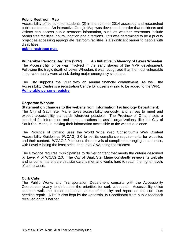#### **Public Restroom Map**

Accessibility office summer students (2) in the summer 2014 assessed and researched public restrooms. An interactive Google Map was developed in order that residents and visitors can access public restroom information, such as whether restrooms include barrier free facilities, hours, location and directions. This was determined to be a priority project as accessing appropriate restroom facilities is a significant barrier to people with disabilities.

**[public restroom map](http://www.saultstemarie.ca/City-Hall/City-Departments/Social-Services/Accessibility/Public-Restroom-Map.aspx)**

**Vulnerable Persons Registry (VPR**) **An Initiative in Memory of Lewis Wheelan** The Accessibility office was involved in the early stages of the VPR development. Following the tragic death of Lewis Wheelan, it was recognized that the most vulnerable in our community were at risk during major emergency situations.

The City supports the VPR with an annual financial commitment. As well, the Accessibility Centre is a registration Centre for citizens wising to be added to the VPR. **[Vulnerable persons registry](https://www.soovpr.com/)**

#### **Corporate Website**

**Statement on changes to the website from Information Technology Department:**  The City of Sault Ste. Marie takes accessibility seriously, and strives to meet and exceed accessibility standards wherever possible. The Province of Ontario sets a standard for information and communications to assist organizations, like the City of Sault Ste. Marie, in making their information accessible to the widest audience.

The Province of Ontario uses the World Wide Web Consortium's Web Content Accessibility Guidelines (WCAG) 2.0 to set its compliance requirements for websites and their content. WCAG 2.0 includes three levels of compliance, ranging in strictness, with Level A being the least strict, and Level AAA being the strictest.

The Province requires municipalities to deliver content that meets the criteria described by Level A of WCAG 2.0. The City of Sault Ste. Marie constantly reviews its website and its content to ensure this standard is met, and works hard to reach the higher levels of compliance.

#### **Curb Cuts**

The Public Works and Transportation Department consults with the Accessibility Coordinator yearly to determine the priorities for curb cut repair. Accessibility office students walk the busier pedestrian areas of the city and report on the curb cuts needing repair. A list is also kept by the Accessibility Coordinator from public feedback received on this barrier.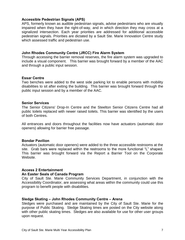## **Accessible Pedestrian Signals (APS)**

APS, formerly known as audible pedestrian signals, advise pedestrians who are visually impaired when they have the right-of-way, and in which direction they may cross at a signalized intersection. Each year priorities are addressed for additional accessible pedestrian signals. Priorities are dictated by a Sault Ste. Marie Innovation Centre study which assessed traffic and pedestrian use.

# **John Rhodes Community Centre (JRCC) Fire Alarm System**

Through accessing the barrier removal reserves, the fire alarm system was upgraded to include a visual component. This barrier was brought forward by a member of the AAC and through a public input session.

# **Essar Centre**

Two benches were added to the west side parking lot to enable persons with mobility disabilities to sit after exiting the building. This barrier was brought forward through the public input session and by a member of the AAC.

#### **Senior Services**

The Senior Citizens' Drop-In Centre and the Steelton Senior Citizens Centre had all public toilets replaced with newer raised toilets. This barrier was identified by the users of both Centres.

All entrances and doors throughout the facilities now have actuators (automatic door openers) allowing for barrier free passage.

# **Bondar Pavilion**

Actuators (automatic door openers) were added to the three accessible restrooms at the site. Grab bars were replaced within the restrooms to the more functional "L" shaped. This barrier was brought forward via the Report a Barrier Tool on the Corporate Website.

# **Access 2 Entertainment**

#### **An Easter Seals of Canada Program**

City of Sault Ste. Marie Community Services Department, in conjunction with the Accessibility Coordinator, are assessing what areas within the community could use this program to benefit people with disabilities.

#### **Sledge Skating – John Rhodes Community Centre – Arena**

Sledges were purchased and are maintained by the City of Sault Ste. Marie for the purpose of Public Skating. Sledge Skating times are posted on the City website along with other public skating times. Sledges are also available for use for other user groups upon request.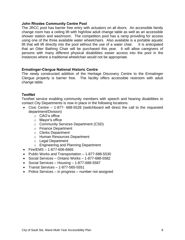# **John Rhodes Community Centre Pool**

The JRCC pool has barrier free entry with actuators on all doors. An accessible family change room has a ceiling lift with high/low adult change table as well as an accessible shower station and washroom. The competition pool has a ramp providing for access using one of the three available water wheelchairs. Also available is a portable aquatic lift that will lift directly into the pool without the use of a water chair. It is anticipated that an Otter Bathing Chair will be purchased this year. It will allow caregivers of persons with many different physical disabilities easier access into the pool in the instances where a traditional wheelchair would not be appropriate.

# **Ermatinger-Clergue National Historic Centre**

The newly constructed addition of the Heritage Discovery Centre to the Ermatinger Clergue property is barrier free. The facility offers accessible restroom with adult change table.

# **TextNet**

TextNet service enabling community members with speech and hearing disabilities to contact City Departments is now in place in the following locations:

- Civic Centre 1-877- 688-5528 (switchboard will direct the call to the requested department/Division)
	- o CAO's office
	- o Mayor's office
	- o Community Services Department (CSD)
	- o Finance Department
	- o Clerks Department
	- o Human Resources Department
	- o Legal Department
	- o Engineering and Planning Department
- $\bullet$  Fire/EMS 1-877-606-6665
- Public Works and Transportation 1-877-688-5530
- Social Services Ontario Works 1-877-688-5582
- $\bullet$  Social Services Housing 1-877-688-5587
- Transit Services 1-877-565-5551
- Police Services in progress number not assigned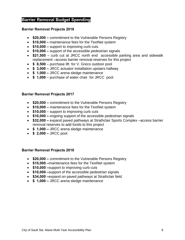# <span id="page-10-0"></span>**Barrier Removal Budget Spending**

# **Barrier Removal Projects 2016**

- **\$20,000** commitment to the Vulnerable Persons Registry
- **\$10,000** maintenance fees for the TextNet system
- **\$10,000** support to improving curb cuts
- **\$10,000** support of the accessible pedestrian signals
- **\$21,500** curb cut at JRCC north end accessible parking area and sidewalk replacement –access barrier removal reserves for this project
- **\$ 8,500** purchase lift for V. Greco outdoor pool
- **\$ 3,000** JRCC actuator installation upstairs hallway
- **\$ 1,000** JRCC arena sledge maintenance
- **\$ 1,000**  purchase of water chair for JRCC pool

# **Barrier Removal Projects 2017**

- **\$20,000** commitment to the Vulnerable Persons Registry
- **\$10,000** maintenance fees for the TextNet system
- **\$10,000** support to improving curb cuts
- **\$10,000** ongoing support of the accessible pedestrian signals
- **\$32,000** expand paved pathways at Strathclair Sports Complex –access barrier removal reserves to add funds to this project
- **\$ 1,000** JRCC arena sledge maintenance
- **\$ 2,000 –** JRCC pool

# **Barrier Removal Projects 2018**

- **\$20,000** commitment to the Vulnerable Persons Registry
- **\$10,000 –**maintenance fees for the TextNet system
- **\$10,000 –**support to improving curb cuts
- **\$10,000 –**support of the accessible pedestrian signals
- **\$34,000 –**expand on paved pathways at Strathclair field
- **\$ 1,000** JRCC arena sledge maintenance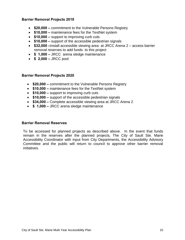# <span id="page-11-0"></span>**Barrier Removal Projects 2019**

- **\$20,000** commitment to the Vulnerable Persons Registry
- **\$10,000** maintenance fees for the TextNet system
- **\$10,000** support to improving curb cuts
- **\$10,000** support of the accessible pedestrian signals
- **\$32,000 –**install accessible viewing area at JRCC Arena 2 access barrier removal reserves to add funds to this project
- **\$ 1,000** JRCC arena sledge maintenance
- **\$ 2,000** JRCC pool

# **Barrier Removal Projects 2020**

- **\$20,000** commitment to the Vulnerable Persons Registry
- **\$10,000** maintenance fees for the TextNet system
- **\$10,000** support to improving curb cuts
- **\$10,000 –** support of the accessible pedestrian signals
- **\$34,000 Complete accessible viewing area at JRCC Arena 2**
- **\$ 1,000** JRCC arena sledge maintenance

#### **Barrier Removal Reserves**

 To be accessed for planned projects as described above. In the event that funds remain in the reserves after the planned projects, The City of Sault Ste. Marie Accessibility Coordinator with input from City Departments, the Accessibility Advisory Committee and the public will return to council to approve other barrier removal initiatives.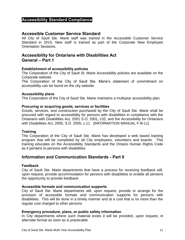# <span id="page-12-0"></span>**Accessibility Standard Compliance**

# **Accessible Customer Service Standard**

All City of Sault Ste. Marie staff was trained in the Accessible Customer Service Standard in 2010. New staff is trained as part of the Corporate New Employee Orientation Sessions.

# **Accessibility for Ontarians with Disabilities Act General – Part 1**

# **Establishment of accessibility policies**

The Corporation of the City of Sault St. Marie Accessibility policies are available on the Corporate website.

The Corporation of the City of Sault Ste. Marie's statement of commitment on accessibility can be found on the city website.

#### **Accessibility plans**

The Corporation of the City of Sault Ste. Marie maintains a multiyear accessibility plan

#### **Procuring or acquiring goods, services or facilities**

Goods, services, and construction purchased by the City of Sault Ste. Marie shall be procured with regard to accessibility for persons with disabilities in compliance with the Ontarians with Disabilities Act, 2001 S.O. 2001, c32; and the Accessibility for Ontarians with Disabilities Act, 2005, S.O. 2005, c.11. (INFORMATION MANUAL F-lll-11)

#### **Training**

The Corporation of the City of Sault Ste. Marie has developed a web based training program that will be completed by all City employees, volunteers and boards. This training educates on the Accessibility Standards and the Ontario Human Rights Code as it pertains to persons with disabilities

# **Information and Communication Standards - Part II**

#### **Feedback**

City of Sault Ste. Marie departments that have a process for receiving feedback will, upon request, provide accommodation for persons with disabilities to enable all persons the opportunity to provide feedback

#### **Accessible formats and communication supports**

City of Sault Ste. Marie departments will, upon request, provide or arrange for the provision of accessible formats and communication supports for persons with disabilities. This will be done in a timely manner and at a cost that is no more than the regular cost charged to other persons

#### **Emergency procedure, plans, or public safety information**

In City departments where such material exists it will be provided, upon request, in alternate format as soon as is practicable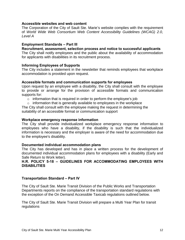# **Accessible websites and web content**

The Corporation of the City of Sault Ste. Marie's website complies with the requirement of *World Wide Web Consortium Web Content Accessibility Guidelines (WCAG) 2.0, Level A*

# **Employment Standards – Part III**

**Recruitment, assessment, selection process and notice to successful applicants**

The City shall notify employees and the public about the availability of accommodation for applicants with disabilities in its recruitment process.

# **Informing Employees of Supports**

The City includes a statement in the newsletter that reminds employees that workplace accommodation is provided upon request.

# **Accessible formats and communication supports for employees**

Upon request by an employee with a disability, the City shall consult with the employee to provide or arrange for the provision of accessible formats and communication supports for:

- $\circ$  information that is required in order to perform the employee's job
- $\circ$  information that is generally available to employees in the workplace

The City shall consult with the employee making the request in determining the suitability of an accessible format or communication support

## **Workplace emergency response information**

The City shall provide individualized workplace emergency response information to employees who have a disability, if the disability is such that the individualized information is necessary and the employer is aware of the need for accommodation due to the employee's disability.

#### **Documented individual accommodation plans**

The City has developed and has in place a written process for the development of documented individual accommodation plans for employees with a disability (Early and Safe Return to Work letter).

# **H.R. POLICY 5-18 – GUIDELINES FOR ACCOMMODATING EMPLOYEES WITH DISABILITIES**

# **Transportation Standard – Part IV**

The City of Sault Ste. Marie Transit Division of the Public Works and Transportation Departments reports on the compliance of the transportation standard regulations with the exception of the On Demand Accessible Taxicab regulations outlined below.

The City of Sault Ste. Marie Transit Division will prepare a Multi Year Plan for transit regulations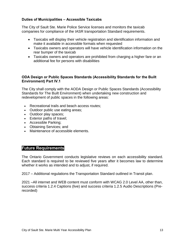# **Duties of Municipalities – Accessible Taxicabs**

The City of Sault Ste. Marie Police Service licenses and monitors the taxicab companies for compliance of the IASR transportation Standard requirements.

- Taxicabs will display their vehicle registration and identification information and make it available in accessible formats when requested
- Taxicabs owners and operators will have vehicle identification information on the rear bumper of the taxicab
- Taxicabs owners and operators are prohibited from charging a higher fare or an additional fee for persons with disabilities

# **ODA Design or Public Spaces Standards (Accessibility Standards for the Built Environment) Part IV.1**

The City shall comply with the AODA Design or Public Spaces Standards (Accessibility Standards for The Built Environment) when undertaking new construction and redevelopment of public spaces in the following areas:

- Recreational trails and beach access routes;
- Outdoor public use eating areas;
- Outdoor play spaces;
- Exterior paths of travel;
- Accessible Parking;
- Obtaining Services; and
- Maintenance of accessible elements.

# **Future Requirements**

The Ontario Government conducts legislative reviews on each accessibility standard. Each standard is required to be reviewed five years after it becomes law to determine whether it works as intended and to adjust, if required.

2017 – Additional regulations the Transportation Standard outlined in Transit plan.

2021 –All internet and WEB content must conform with WCAG 2.0 Level AA, other than, success criteria 1.2.4 Captions (live) and success criteria 1.2.5 Audio Descriptions (Prerecorded)